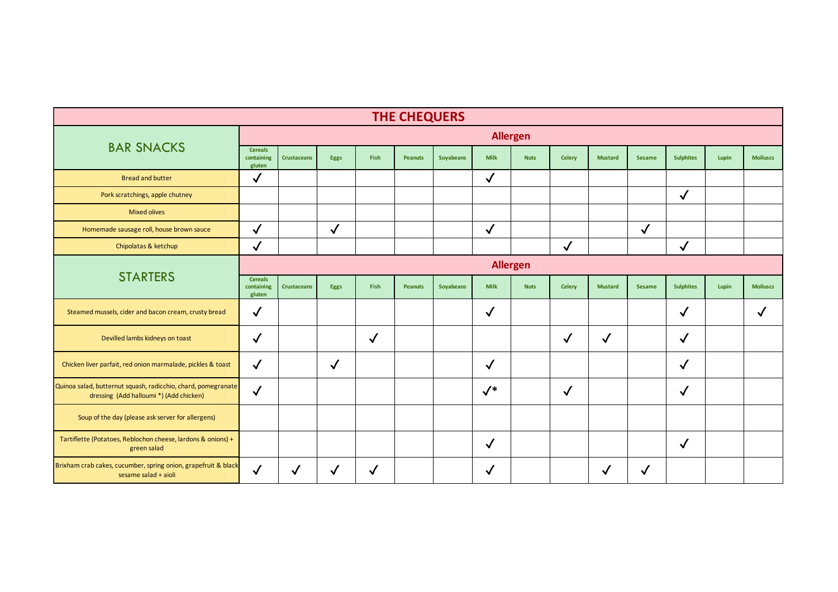| <b>THE CHEQUERS</b>                                                                                      |                                        |                    |              |              |                |           |              |             |               |                |               |                  |       |                 |
|----------------------------------------------------------------------------------------------------------|----------------------------------------|--------------------|--------------|--------------|----------------|-----------|--------------|-------------|---------------|----------------|---------------|------------------|-------|-----------------|
|                                                                                                          | <b>Allergen</b>                        |                    |              |              |                |           |              |             |               |                |               |                  |       |                 |
| <b>BAR SNACKS</b>                                                                                        | <b>Cereals</b><br>containing<br>gluten | <b>Crustaceans</b> | Eggs         | Fish         | <b>Peanuts</b> | Soyabeans | <b>Milk</b>  | <b>Nuts</b> | <b>Celery</b> | <b>Mustard</b> | <b>Sesame</b> | <b>Sulphites</b> | Lupin | <b>Molluscs</b> |
| <b>Bread and butter</b>                                                                                  | $\checkmark$                           |                    |              |              |                |           | $\checkmark$ |             |               |                |               |                  |       |                 |
| Pork scratchings, apple chutney                                                                          |                                        |                    |              |              |                |           |              |             |               |                |               | $\checkmark$     |       |                 |
| <b>Mixed olives</b>                                                                                      |                                        |                    |              |              |                |           |              |             |               |                |               |                  |       |                 |
| Homemade sausage roll, house brown sauce                                                                 | $\checkmark$                           |                    | $\checkmark$ |              |                |           | $\checkmark$ |             |               |                | $\checkmark$  |                  |       |                 |
| Chipolatas & ketchup                                                                                     | $\checkmark$                           |                    |              |              |                |           |              |             | $\checkmark$  |                |               | $\checkmark$     |       |                 |
| <b>STARTERS</b>                                                                                          | <b>Allergen</b>                        |                    |              |              |                |           |              |             |               |                |               |                  |       |                 |
|                                                                                                          | <b>Cereals</b><br>containing<br>gluten | <b>Crustaceans</b> | Eggs         | Fish         | <b>Peanuts</b> | Soyabeans | <b>Milk</b>  | <b>Nuts</b> | <b>Celery</b> | <b>Mustard</b> | <b>Sesame</b> | <b>Sulphites</b> | Lupin | <b>Molluscs</b> |
| Steamed mussels, cider and bacon cream, crusty bread                                                     | $\checkmark$                           |                    |              |              |                |           | $\checkmark$ |             |               |                |               | $\checkmark$     |       |                 |
| Devilled lambs kidneys on toast                                                                          | $\checkmark$                           |                    |              | $\checkmark$ |                |           |              |             | $\checkmark$  | $\checkmark$   |               | $\checkmark$     |       |                 |
| Chicken liver parfait, red onion marmalade, pickles & toast                                              | $\checkmark$                           |                    | $\checkmark$ |              |                |           | $\checkmark$ |             |               |                |               | $\checkmark$     |       |                 |
| Quinoa salad, butternut squash, radicchio, chard, pomegranate<br>dressing (Add halloumi *) (Add chicken) | $\checkmark$                           |                    |              |              |                |           | $\sqrt{*}$   |             | $\checkmark$  |                |               | √                |       |                 |
| Soup of the day (please ask server for allergens)                                                        |                                        |                    |              |              |                |           |              |             |               |                |               |                  |       |                 |
| Tartiflette (Potatoes, Reblochon cheese, lardons & onions) +<br>green salad                              |                                        |                    |              |              |                |           | $\checkmark$ |             |               |                |               | $\checkmark$     |       |                 |
| Brixham crab cakes, cucumber, spring onion, grapefruit & black<br>sesame salad + aioli                   | $\checkmark$                           | $\checkmark$       | $\checkmark$ | $\checkmark$ |                |           | $\checkmark$ |             |               | √              | √             |                  |       |                 |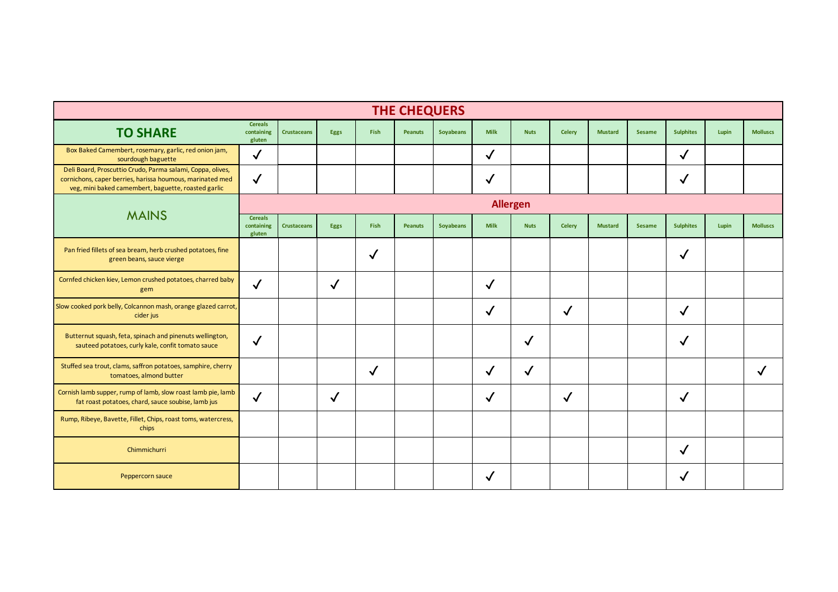|                                                                                                                                                                                | <b>THE CHEQUERS</b>                    |                    |              |              |                |           |              |              |               |                |               |                  |       |                 |
|--------------------------------------------------------------------------------------------------------------------------------------------------------------------------------|----------------------------------------|--------------------|--------------|--------------|----------------|-----------|--------------|--------------|---------------|----------------|---------------|------------------|-------|-----------------|
| <b>TO SHARE</b>                                                                                                                                                                | <b>Cereals</b><br>containing<br>gluten | <b>Crustaceans</b> | <b>Eggs</b>  | <b>Fish</b>  | <b>Peanuts</b> | Soyabeans | <b>Milk</b>  | <b>Nuts</b>  | <b>Celerv</b> | <b>Mustard</b> | <b>Sesame</b> | <b>Sulphites</b> | Lupin | <b>Molluscs</b> |
| Box Baked Camembert, rosemary, garlic, red onion jam,<br>sourdough baguette                                                                                                    | $\sqrt{2}$                             |                    |              |              |                |           | $\checkmark$ |              |               |                |               | √                |       |                 |
| Deli Board, Proscuttio Crudo, Parma salami, Coppa, olives,<br>cornichons, caper berries, harissa houmous, marinated med<br>veg, mini baked camembert, baguette, roasted garlic | $\checkmark$                           |                    |              |              |                |           | $\checkmark$ |              |               |                |               | √                |       |                 |
|                                                                                                                                                                                | <b>Allergen</b>                        |                    |              |              |                |           |              |              |               |                |               |                  |       |                 |
| <b>MAINS</b>                                                                                                                                                                   | <b>Cereals</b><br>containing<br>gluten | <b>Crustaceans</b> | <b>Eggs</b>  | Fish         | <b>Peanuts</b> | Soyabeans | <b>Milk</b>  | <b>Nuts</b>  | <b>Celery</b> | <b>Mustard</b> | <b>Sesame</b> | <b>Sulphites</b> | Lupin | <b>Molluscs</b> |
| Pan fried fillets of sea bream, herb crushed potatoes, fine<br>green beans, sauce vierge                                                                                       |                                        |                    |              | $\checkmark$ |                |           |              |              |               |                |               | √                |       |                 |
| Cornfed chicken kiev, Lemon crushed potatoes, charred baby<br>gem                                                                                                              | $\checkmark$                           |                    | $\checkmark$ |              |                |           | $\checkmark$ |              |               |                |               |                  |       |                 |
| Slow cooked pork belly, Colcannon mash, orange glazed carrot,<br>cider jus                                                                                                     |                                        |                    |              |              |                |           | $\checkmark$ |              | $\checkmark$  |                |               | $\checkmark$     |       |                 |
| Butternut squash, feta, spinach and pinenuts wellington,<br>sauteed potatoes, curly kale, confit tomato sauce                                                                  | $\checkmark$                           |                    |              |              |                |           |              | $\checkmark$ |               |                |               | ✓                |       |                 |
| Stuffed sea trout, clams, saffron potatoes, samphire, cherry<br>tomatoes, almond butter                                                                                        |                                        |                    |              | $\checkmark$ |                |           | $\checkmark$ | $\checkmark$ |               |                |               |                  |       | √               |
| Cornish lamb supper, rump of lamb, slow roast lamb pie, lamb<br>fat roast potatoes, chard, sauce soubise, lamb jus                                                             | $\checkmark$                           |                    | $\checkmark$ |              |                |           | $\checkmark$ |              | $\checkmark$  |                |               | $\checkmark$     |       |                 |
| Rump, Ribeye, Bavette, Fillet, Chips, roast toms, watercress,<br>chips                                                                                                         |                                        |                    |              |              |                |           |              |              |               |                |               |                  |       |                 |
| Chimmichurri                                                                                                                                                                   |                                        |                    |              |              |                |           |              |              |               |                |               | √                |       |                 |
| Peppercorn sauce                                                                                                                                                               |                                        |                    |              |              |                |           | $\checkmark$ |              |               |                |               | ✓                |       |                 |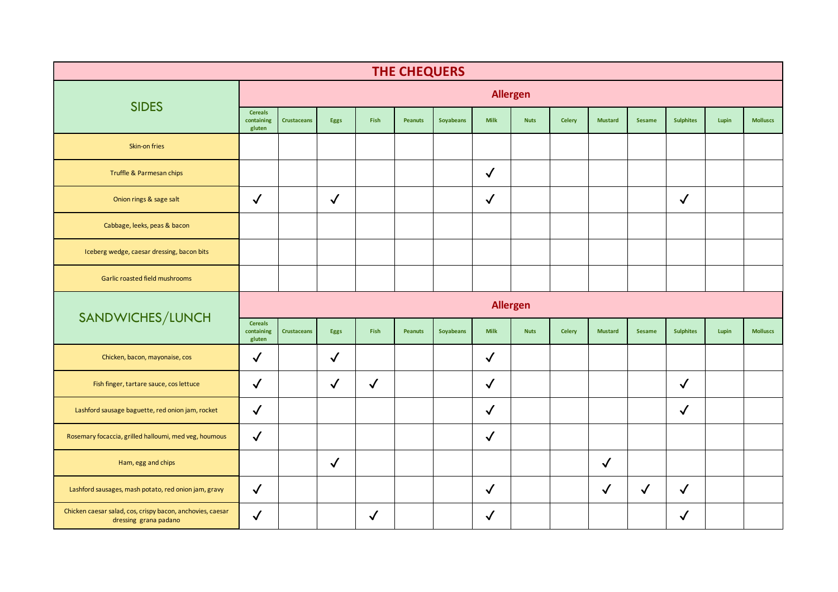| <b>THE CHEQUERS</b>                                   |                                        |                    |              |              |                |           |              |                 |               |                |               |                  |       |                 |
|-------------------------------------------------------|----------------------------------------|--------------------|--------------|--------------|----------------|-----------|--------------|-----------------|---------------|----------------|---------------|------------------|-------|-----------------|
|                                                       |                                        |                    |              |              |                |           |              | <b>Allergen</b> |               |                |               |                  |       |                 |
| <b>SIDES</b>                                          | <b>Cereals</b><br>containing<br>gluten | <b>Crustaceans</b> | Eggs         | Fish         | <b>Peanuts</b> | Soyabeans | <b>Milk</b>  | <b>Nuts</b>     | <b>Celery</b> | <b>Mustard</b> | Sesame        | <b>Sulphites</b> | Lupin | <b>Molluscs</b> |
| Skin-on fries                                         |                                        |                    |              |              |                |           |              |                 |               |                |               |                  |       |                 |
| Truffle & Parmesan chips                              |                                        |                    |              |              |                |           | $\checkmark$ |                 |               |                |               |                  |       |                 |
| Onion rings & sage salt                               | $\checkmark$                           |                    | $\checkmark$ |              |                |           | $\checkmark$ |                 |               |                |               | $\checkmark$     |       |                 |
| Cabbage, leeks, peas & bacon                          |                                        |                    |              |              |                |           |              |                 |               |                |               |                  |       |                 |
| Iceberg wedge, caesar dressing, bacon bits            |                                        |                    |              |              |                |           |              |                 |               |                |               |                  |       |                 |
| Garlic roasted field mushrooms                        |                                        |                    |              |              |                |           |              |                 |               |                |               |                  |       |                 |
|                                                       | <b>Allergen</b>                        |                    |              |              |                |           |              |                 |               |                |               |                  |       |                 |
|                                                       |                                        |                    |              |              |                |           |              |                 |               |                |               |                  |       |                 |
| SANDWICHES/LUNCH                                      | <b>Cereals</b><br>containing<br>gluten | <b>Crustaceans</b> | Eggs         | Fish         | <b>Peanuts</b> | Soyabeans | <b>Milk</b>  | <b>Nuts</b>     | <b>Celery</b> | <b>Mustard</b> | <b>Sesame</b> | <b>Sulphites</b> | Lupin | <b>Molluscs</b> |
| Chicken, bacon, mayonaise, cos                        | $\checkmark$                           |                    | $\checkmark$ |              |                |           | $\checkmark$ |                 |               |                |               |                  |       |                 |
| Fish finger, tartare sauce, cos lettuce               | $\checkmark$                           |                    | $\checkmark$ | $\checkmark$ |                |           | $\checkmark$ |                 |               |                |               | $\checkmark$     |       |                 |
| Lashford sausage baguette, red onion jam, rocket      | $\checkmark$                           |                    |              |              |                |           | $\checkmark$ |                 |               |                |               | $\checkmark$     |       |                 |
| Rosemary focaccia, grilled halloumi, med veg, houmous | $\checkmark$                           |                    |              |              |                |           | $\checkmark$ |                 |               |                |               |                  |       |                 |
| Ham, egg and chips                                    |                                        |                    | $\checkmark$ |              |                |           |              |                 |               | $\checkmark$   |               |                  |       |                 |
| Lashford sausages, mash potato, red onion jam, gravy  | $\checkmark$                           |                    |              |              |                |           | $\checkmark$ |                 |               | $\checkmark$   | $\checkmark$  | $\checkmark$     |       |                 |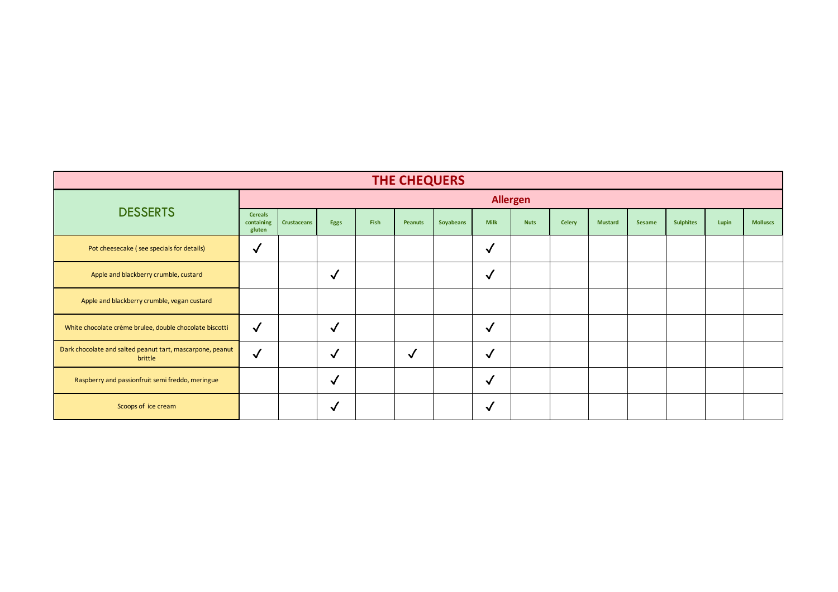| <b>THE CHEQUERS</b>                                                  |                                        |                    |              |      |              |           |              |             |               |                |        |                  |       |                 |
|----------------------------------------------------------------------|----------------------------------------|--------------------|--------------|------|--------------|-----------|--------------|-------------|---------------|----------------|--------|------------------|-------|-----------------|
|                                                                      | <b>Allergen</b>                        |                    |              |      |              |           |              |             |               |                |        |                  |       |                 |
| <b>DESSERTS</b>                                                      | <b>Cereals</b><br>containing<br>gluten | <b>Crustaceans</b> | Eggs         | Fish | Peanuts      | Soyabeans | <b>Milk</b>  | <b>Nuts</b> | <b>Celery</b> | <b>Mustard</b> | Sesame | <b>Sulphites</b> | Lupin | <b>Molluscs</b> |
| Pot cheesecake (see specials for details)                            | $\checkmark$                           |                    |              |      |              |           | $\checkmark$ |             |               |                |        |                  |       |                 |
| Apple and blackberry crumble, custard                                |                                        |                    | $\checkmark$ |      |              |           | $\checkmark$ |             |               |                |        |                  |       |                 |
| Apple and blackberry crumble, vegan custard                          |                                        |                    |              |      |              |           |              |             |               |                |        |                  |       |                 |
| White chocolate crème brulee, double chocolate biscotti              | $\checkmark$                           |                    | √            |      |              |           | $\checkmark$ |             |               |                |        |                  |       |                 |
| Dark chocolate and salted peanut tart, mascarpone, peanut<br>brittle | $\checkmark$                           |                    | $\checkmark$ |      | $\checkmark$ |           | $\checkmark$ |             |               |                |        |                  |       |                 |
| Raspberry and passionfruit semi freddo, meringue                     |                                        |                    | $\checkmark$ |      |              |           | $\checkmark$ |             |               |                |        |                  |       |                 |
| Scoops of ice cream                                                  |                                        |                    | $\checkmark$ |      |              |           | √            |             |               |                |        |                  |       |                 |